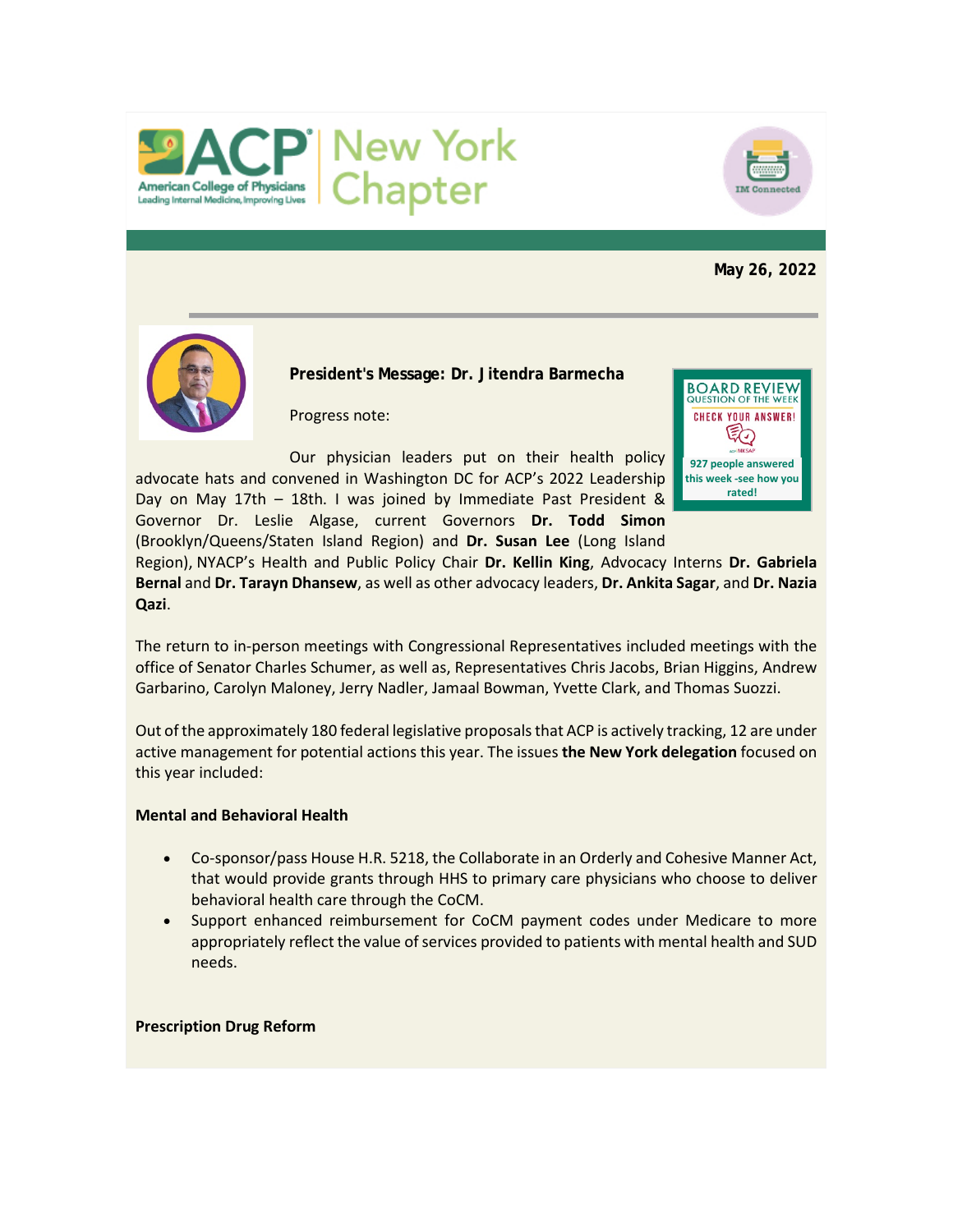



**May 26, 2022**



**President's Message: Dr. Jitendra Barmecha**

Progress note:

Our physician leaders put on their health policy advocate hats and convened in Washington DC for ACP's 2022 Leadership Day on May 17th – 18th. I was joined by Immediate Past President & Governor Dr. Leslie Algase, current Governors **Dr. Todd Simon** (Brooklyn/Queens/Staten Island Region) and **Dr. Susan Lee** (Long Island



Region), NYACP's Health and Public Policy Chair **Dr. Kellin King**, Advocacy Interns **Dr. Gabriela Bernal** and **Dr. Tarayn Dhansew**, as well as other advocacy leaders, **Dr. Ankita Sagar**, and **Dr. Nazia Qazi**.

The return to in-person meetings with Congressional Representatives included meetings with the office of Senator Charles Schumer, as well as, Representatives Chris Jacobs, Brian Higgins, Andrew Garbarino, Carolyn Maloney, Jerry Nadler, Jamaal Bowman, Yvette Clark, and Thomas Suozzi.

Out of the approximately 180 federal legislative proposals that ACP is actively tracking, 12 are under active management for potential actions this year. The issues **the New York delegation** focused on this year included:

## **Mental and Behavioral Health**

- Co-sponsor/pass House H.R. 5218, the Collaborate in an Orderly and Cohesive Manner Act, that would provide grants through HHS to primary care physicians who choose to deliver behavioral health care through the CoCM.
- Support enhanced reimbursement for CoCM payment codes under Medicare to more appropriately reflect the value of services provided to patients with mental health and SUD needs.

#### **Prescription Drug Reform**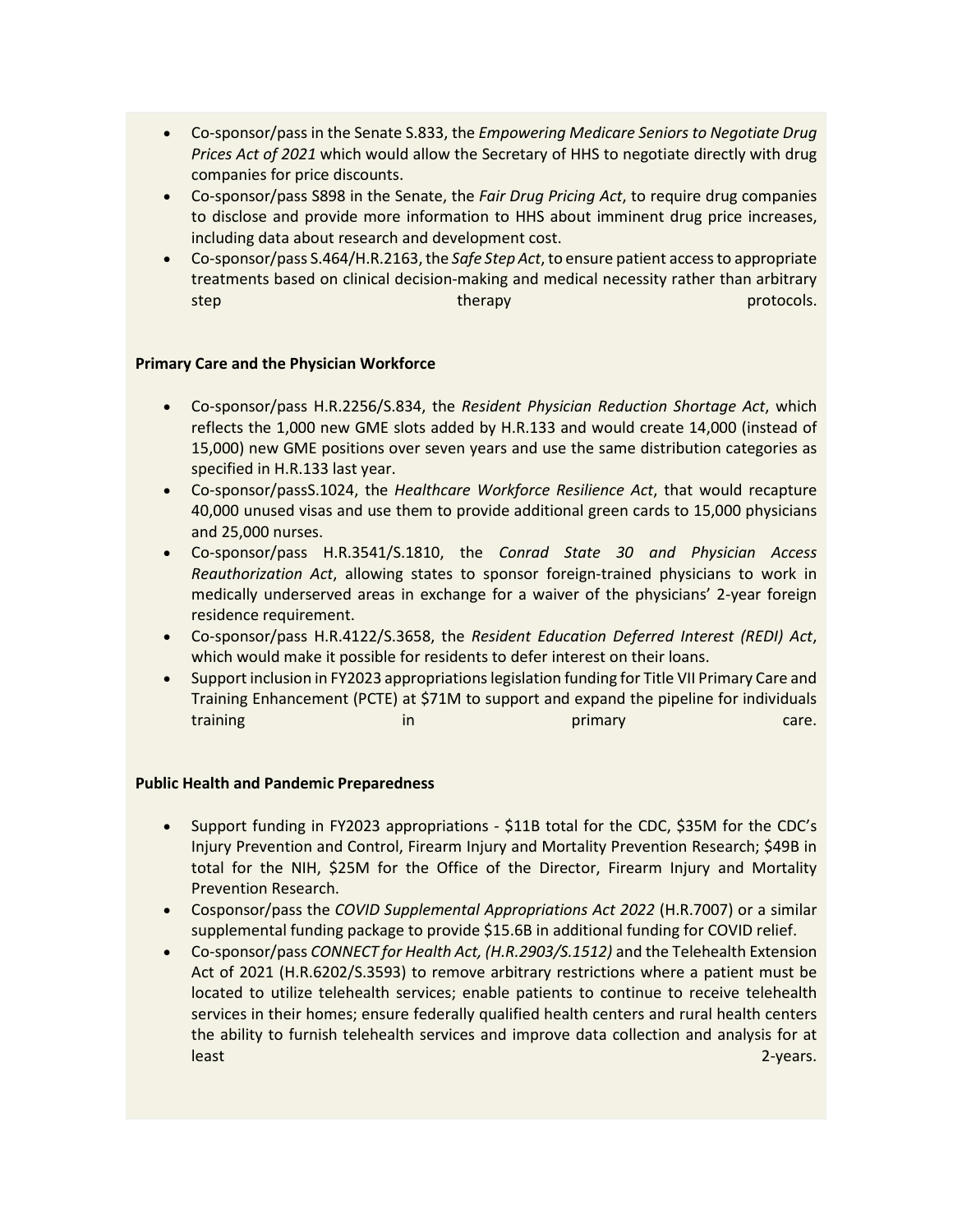- Co-sponsor/pass in the Senate S.833, the *Empowering Medicare Seniors to Negotiate Drug Prices Act of 2021* which would allow the Secretary of HHS to negotiate directly with drug companies for price discounts.
- Co-sponsor/pass S898 in the Senate, the *Fair Drug Pricing Act*, to require drug companies to disclose and provide more information to HHS about imminent drug price increases, including data about research and development cost.
- Co-sponsor/pass S.464/H.R.2163, the *Safe Step Act*, to ensure patient access to appropriate treatments based on clinical decision-making and medical necessity rather than arbitrary step therapy by the control of the control of the control of the control of the control of the control of the control of the control of the control of the control of the control of the control of the control of the control

## **Primary Care and the Physician Workforce**

- Co-sponsor/pass H.R.2256/S.834, the *Resident Physician Reduction Shortage Act*, which reflects the 1,000 new GME slots added by H.R.133 and would create 14,000 (instead of 15,000) new GME positions over seven years and use the same distribution categories as specified in H.R.133 last year.
- Co-sponsor/passS.1024, the *Healthcare Workforce Resilience Act*, that would recapture 40,000 unused visas and use them to provide additional green cards to 15,000 physicians and 25,000 nurses.
- Co-sponsor/pass H.R.3541/S.1810, the *Conrad State 30 and Physician Access Reauthorization Act*, allowing states to sponsor foreign-trained physicians to work in medically underserved areas in exchange for a waiver of the physicians' 2-year foreign residence requirement.
- Co-sponsor/pass H.R.4122/S.3658, the *Resident Education Deferred Interest (REDI) Act*, which would make it possible for residents to defer interest on their loans.
- Support inclusion in FY2023 appropriations legislation funding for Title VII Primary Care and Training Enhancement (PCTE) at \$71M to support and expand the pipeline for individuals training in a structure in the primary care.

## **Public Health and Pandemic Preparedness**

- Support funding in FY2023 appropriations \$11B total for the CDC, \$35M for the CDC's Injury Prevention and Control, Firearm Injury and Mortality Prevention Research; \$49B in total for the NIH, \$25M for the Office of the Director, Firearm Injury and Mortality Prevention Research.
- Cosponsor/pass the *COVID Supplemental Appropriations Act 2022* (H.R.7007) or a similar supplemental funding package to provide \$15.6B in additional funding for COVID relief.
- Co-sponsor/pass *CONNECT for Health Act, (H.R.2903/S.1512)* and the Telehealth Extension Act of 2021 (H.R.6202/S.3593) to remove arbitrary restrictions where a patient must be located to utilize telehealth services; enable patients to continue to receive telehealth services in their homes; ensure federally qualified health centers and rural health centers the ability to furnish telehealth services and improve data collection and analysis for at least 2-years.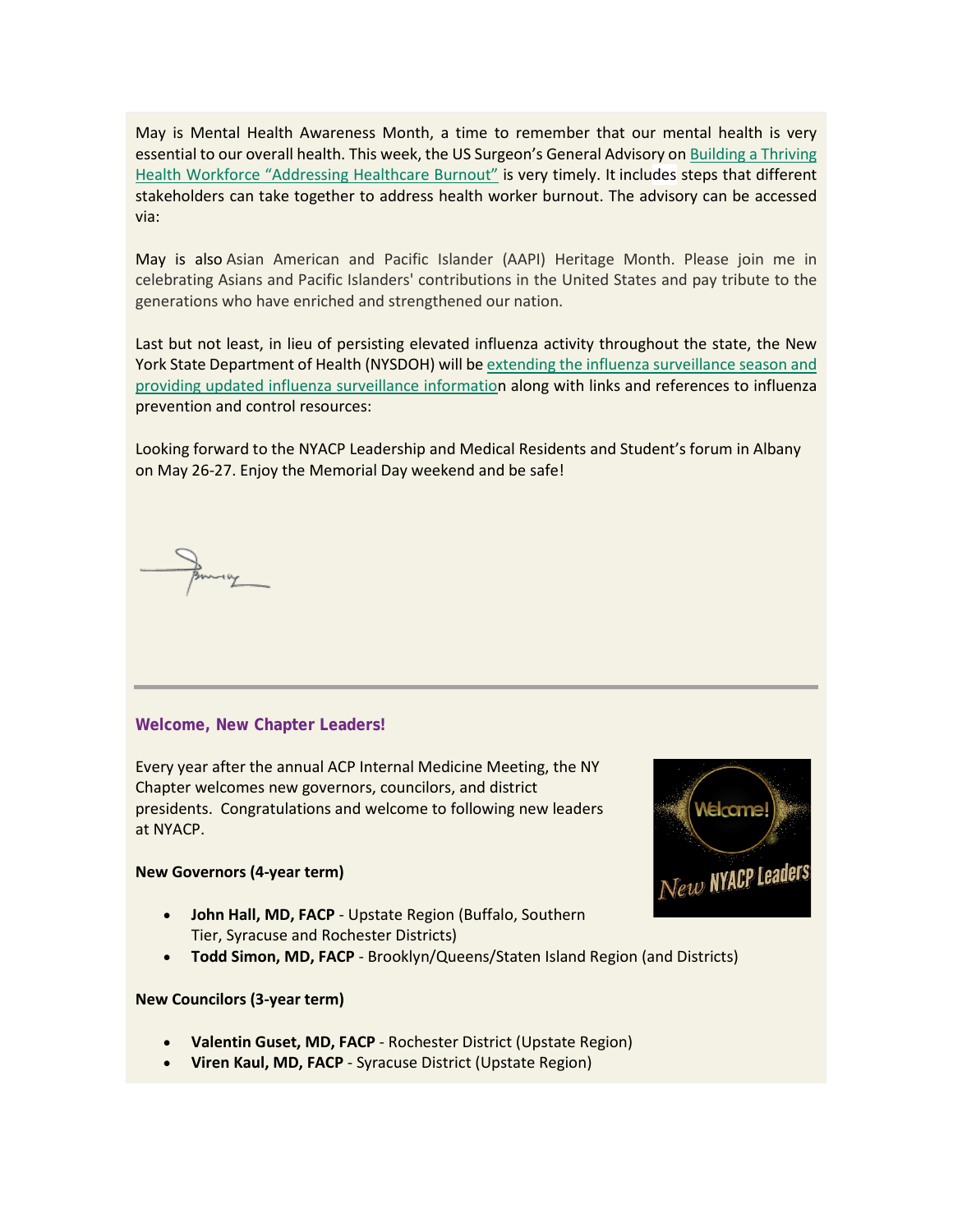May is Mental Health Awareness Month, a time to remember that our mental health is very essential to our overall health. This week, the US Surgeon's General Advisory on Building a Thriving [Health Workforce "Addressing Healthcare Burnout"](https://www.votervoice.net/BroadcastLinks/wEqa1iX46FhNFDsedGMuWw) is very timely. It includes steps that different stakeholders can take together to address health worker burnout. The advisory can be accessed via:

May is also Asian American and Pacific Islander (AAPI) Heritage Month. Please join me in celebrating Asians and Pacific Islanders' contributions in the United States and pay tribute to the generations who have enriched and strengthened our nation.

Last but not least, in lieu of persisting elevated influenza activity throughout the state, the New York State Department of Health (NYSDOH) will be [extending the influenza surveillance season and](https://www.votervoice.net/BroadcastLinks/r89xOW7Gy2E3BXVK_PnIJQ)  [providing updated influenza surveillance information](https://www.votervoice.net/BroadcastLinks/r89xOW7Gy2E3BXVK_PnIJQ) along with links and references to influenza prevention and control resources:

Looking forward to the NYACP Leadership and Medical Residents and Student's forum in Albany on May 26-27. Enjoy the Memorial Day weekend and be safe!

## **Welcome, New Chapter Leaders!**

Every year after the annual ACP Internal Medicine Meeting, the NY Chapter welcomes new governors, councilors, and district presidents. Congratulations and welcome to following new leaders at NYACP.

#### **New Governors (4-year term)**

- **John Hall, MD, FACP** Upstate Region (Buffalo, Southern Tier, Syracuse and Rochester Districts)
- **Todd Simon, MD, FACP** Brooklyn/Queens/Staten Island Region (and Districts)

#### **New Councilors (3-year term)**

- **Valentin Guset, MD, FACP** Rochester District (Upstate Region)
- **Viren Kaul, MD, FACP** Syracuse District (Upstate Region)

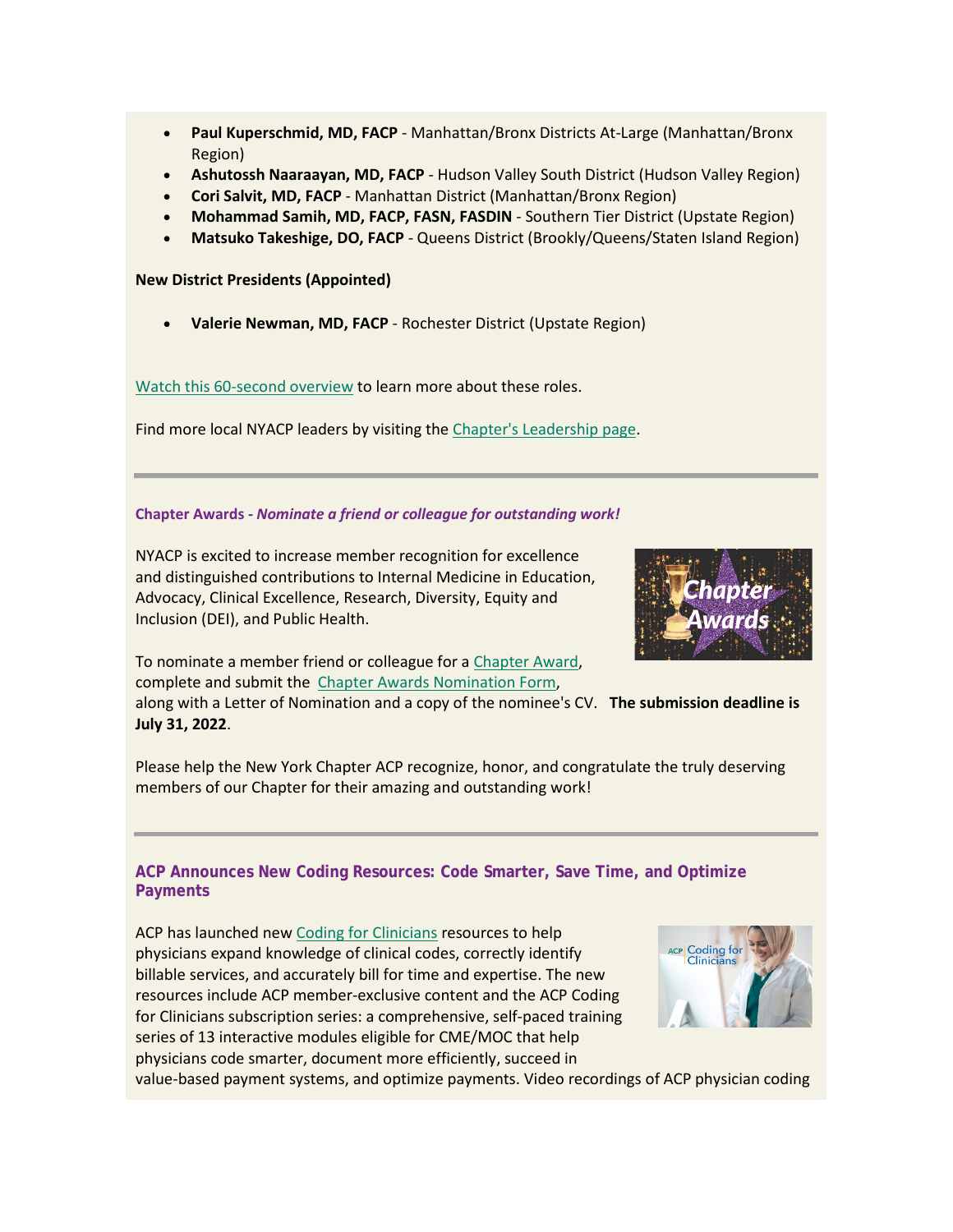- **Paul Kuperschmid, MD, FACP** Manhattan/Bronx Districts At-Large (Manhattan/Bronx Region)
- **Ashutossh Naaraayan, MD, FACP** Hudson Valley South District (Hudson Valley Region)
- **Cori Salvit, MD, FACP** Manhattan District (Manhattan/Bronx Region)
- **Mohammad Samih, MD, FACP, FASN, FASDIN** Southern Tier District (Upstate Region)
- **Matsuko Takeshige, DO, FACP** Queens District (Brookly/Queens/Staten Island Region)

**New District Presidents (Appointed)**

• **Valerie Newman, MD, FACP** - Rochester District (Upstate Region)

[Watch this 60-second overview](https://www.votervoice.net/BroadcastLinks/cp1bAH6Jf-q6POPpvAFp0A) to learn more about these roles.

Find more local NYACP leaders by visiting the [Chapter's Leadership page.](https://www.votervoice.net/BroadcastLinks/On-dcLSrm9BgUf11lPk73A)

## **Chapter Awards -** *Nominate a friend or colleague for outstanding work!*

NYACP is excited to increase member recognition for excellence and distinguished contributions to Internal Medicine in Education, Advocacy, Clinical Excellence, Research, Diversity, Equity and Inclusion (DEI), and Public Health.



To nominate a member friend or colleague for a [Chapter Award,](https://www.votervoice.net/BroadcastLinks/DE4tntVvjlh7eXpln0ENHg) complete and submit the [Chapter Awards Nomination Form,](https://www.votervoice.net/BroadcastLinks/FVR38ZiJ7kCooxK5alUg2g)

along with a Letter of Nomination and a copy of the nominee's CV. **The submission deadline is July 31, 2022**.

Please help the New York Chapter ACP recognize, honor, and congratulate the truly deserving members of our Chapter for their amazing and outstanding work!

## **ACP Announces New Coding Resources: Code Smarter, Save Time, and Optimize Payments**

ACP has launched ne[w Coding for Clinicians](https://www.votervoice.net/BroadcastLinks/hN1097bjt6JaMXgfIXLPDQ) resources to help physicians expand knowledge of clinical codes, correctly identify billable services, and accurately bill for time and expertise. The new resources include ACP member-exclusive content and the ACP Coding for Clinicians subscription series: a comprehensive, self-paced training series of 13 interactive modules eligible for CME/MOC that help physicians code smarter, document more efficiently, succeed in



value-based payment systems, and optimize payments. Video recordings of ACP physician coding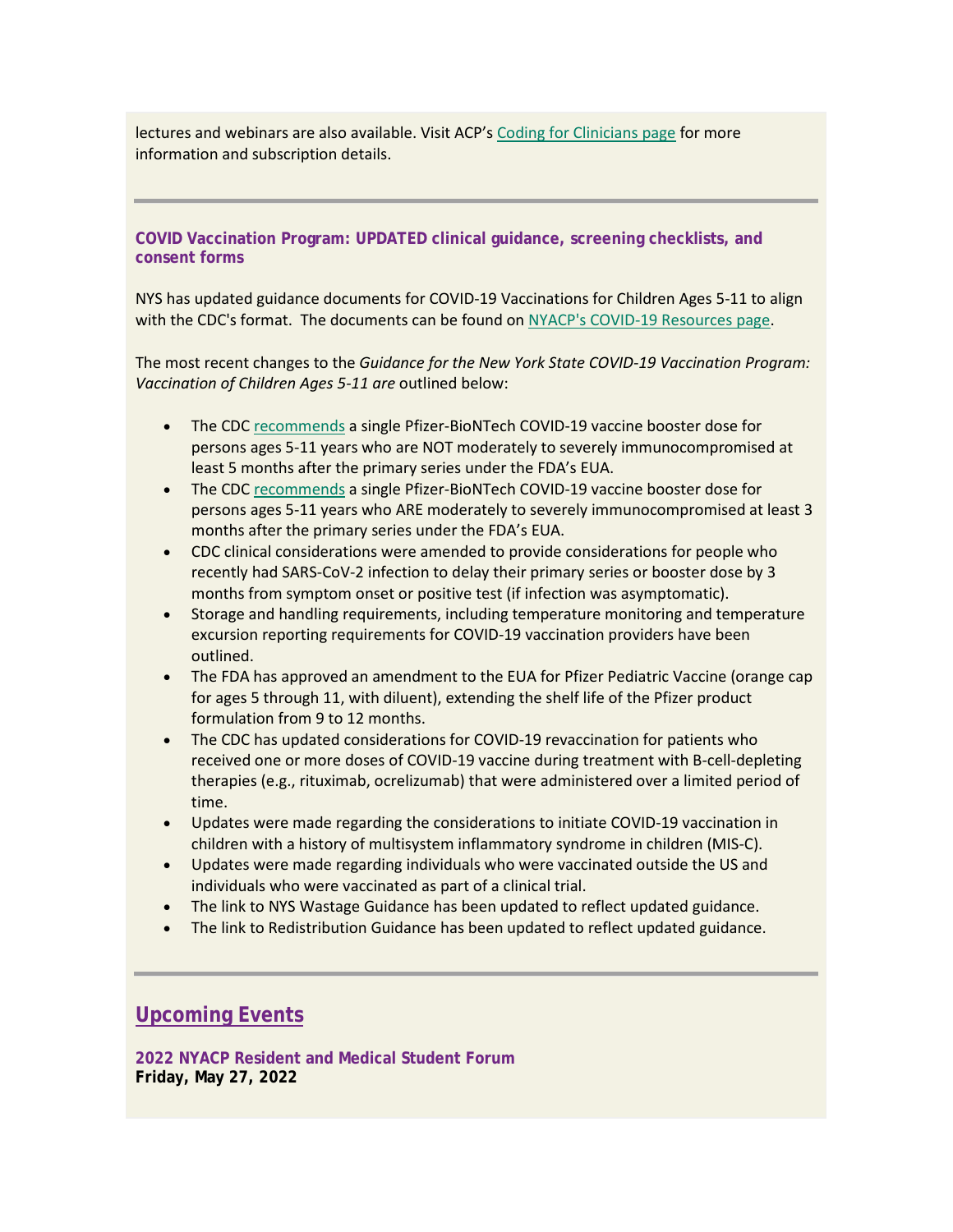lectures and webinars are also available. Visit ACP'[s Coding for Clinicians page](https://www.votervoice.net/BroadcastLinks/xeSQpM1yxlcR_q5L41-GYQ) for more information and subscription details.

**COVID Vaccination Program: UPDATED clinical guidance, screening checklists, and consent forms**

NYS has updated guidance documents for COVID-19 Vaccinations for Children Ages 5-11 to align with the CDC's format. The documents can be found on [NYACP's COVID-19 Resources page.](https://www.votervoice.net/BroadcastLinks/7QYp5YtZL6hZ2FMrOh4OhQ)

The most recent changes to the *Guidance for the New York State COVID-19 Vaccination Program: Vaccination of Children Ages 5-11 are* outlined below:

- The CDC [recommends](https://www.votervoice.net/BroadcastLinks/1CxKajCbdPLmZZt_SthLWA) a single Pfizer-BioNTech COVID-19 vaccine booster dose for persons ages 5-11 years who are NOT moderately to severely immunocompromised at least 5 months after the primary series under the FDA's EUA.
- The CDC [recommends](https://www.votervoice.net/BroadcastLinks/gBrjLYj3bSAmBbH96rSbJg) a single Pfizer-BioNTech COVID-19 vaccine booster dose for persons ages 5-11 years who ARE moderately to severely immunocompromised at least 3 months after the primary series under the FDA's EUA.
- CDC clinical considerations were amended to provide considerations for people who recently had SARS-CoV-2 infection to delay their primary series or booster dose by 3 months from symptom onset or positive test (if infection was asymptomatic).
- Storage and handling requirements, including temperature monitoring and temperature excursion reporting requirements for COVID-19 vaccination providers have been outlined.
- The FDA has approved an amendment to the EUA for Pfizer Pediatric Vaccine (orange cap for ages 5 through 11, with diluent), extending the shelf life of the Pfizer product formulation from 9 to 12 months.
- The CDC has updated considerations for COVID-19 revaccination for patients who received one or more doses of COVID-19 vaccine during treatment with B-cell-depleting therapies (e.g., rituximab, ocrelizumab) that were administered over a limited period of time.
- Updates were made regarding the considerations to initiate COVID-19 vaccination in children with a history of multisystem inflammatory syndrome in children (MIS-C).
- Updates were made regarding individuals who were vaccinated outside the US and individuals who were vaccinated as part of a clinical trial.
- The link to NYS Wastage Guidance has been updated to reflect updated guidance.
- The link to Redistribution Guidance has been updated to reflect updated guidance.

# **Upcoming Events**

**2022 NYACP Resident and Medical Student Forum Friday, May 27, 2022**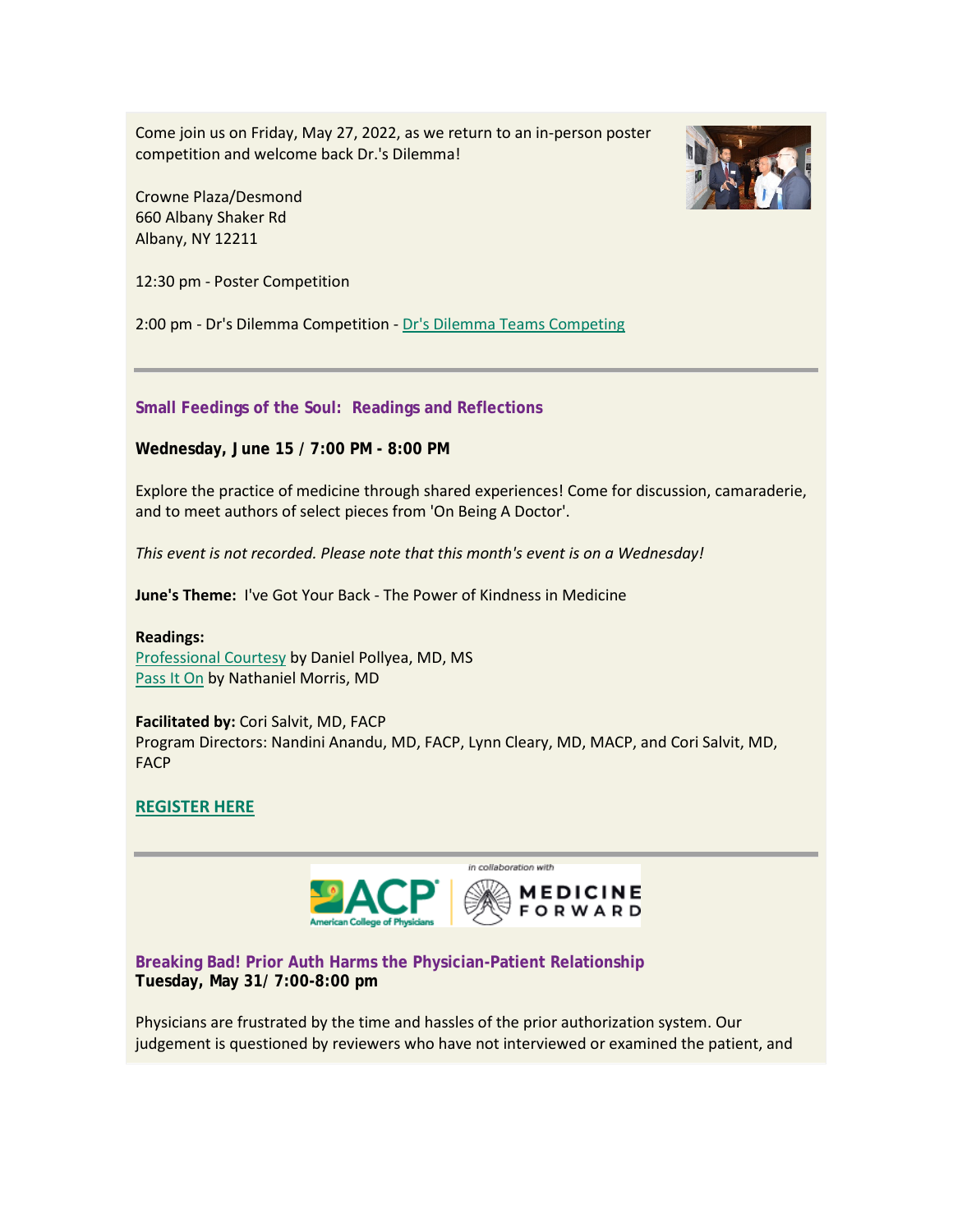Come join us on Friday, May 27, 2022, as we return to an in-person poster competition and welcome back Dr.'s Dilemma!

Crowne Plaza/Desmond 660 Albany Shaker Rd Albany, NY 12211

12:30 pm - Poster Competition

2:00 pm - Dr's Dilemma Competition - [Dr's Dilemma Teams Competing](https://www.votervoice.net/BroadcastLinks/CvCE4caYDFuTP8kLEVZJXQ)

**Small Feedings of the Soul: Readings and Reflections**

**Wednesday, June 15 / 7:00 PM - 8:00 PM**

Explore the practice of medicine through shared experiences! Come for discussion, camaraderie, and to meet authors of select pieces from 'On Being A Doctor'.

*This event is not recorded. Please note that this month's event is on a Wednesday!*

**June's Theme:** I've Got Your Back - The Power of Kindness in Medicine

**Readings:** [Professional Courtesy](https://www.votervoice.net/BroadcastLinks/lAm7DqHfPajiei2VbSQx1g) by Daniel Pollyea, MD, MS

[Pass It On](https://www.votervoice.net/BroadcastLinks/DU0ft94rm27_gxiWiNmbzw) by Nathaniel Morris, MD

**Facilitated by:** Cori Salvit, MD, FACP Program Directors: Nandini Anandu, MD, FACP, Lynn Cleary, MD, MACP, and Cori Salvit, MD, FACP

## **[REGISTER HERE](https://www.votervoice.net/BroadcastLinks/F8O-ncswwXNwqf8XoNMsaA)**



**Breaking Bad! Prior Auth Harms the Physician-Patient Relationship Tuesday, May 31/ 7:00-8:00 pm**

Physicians are frustrated by the time and hassles of the prior authorization system. Our judgement is questioned by reviewers who have not interviewed or examined the patient, and